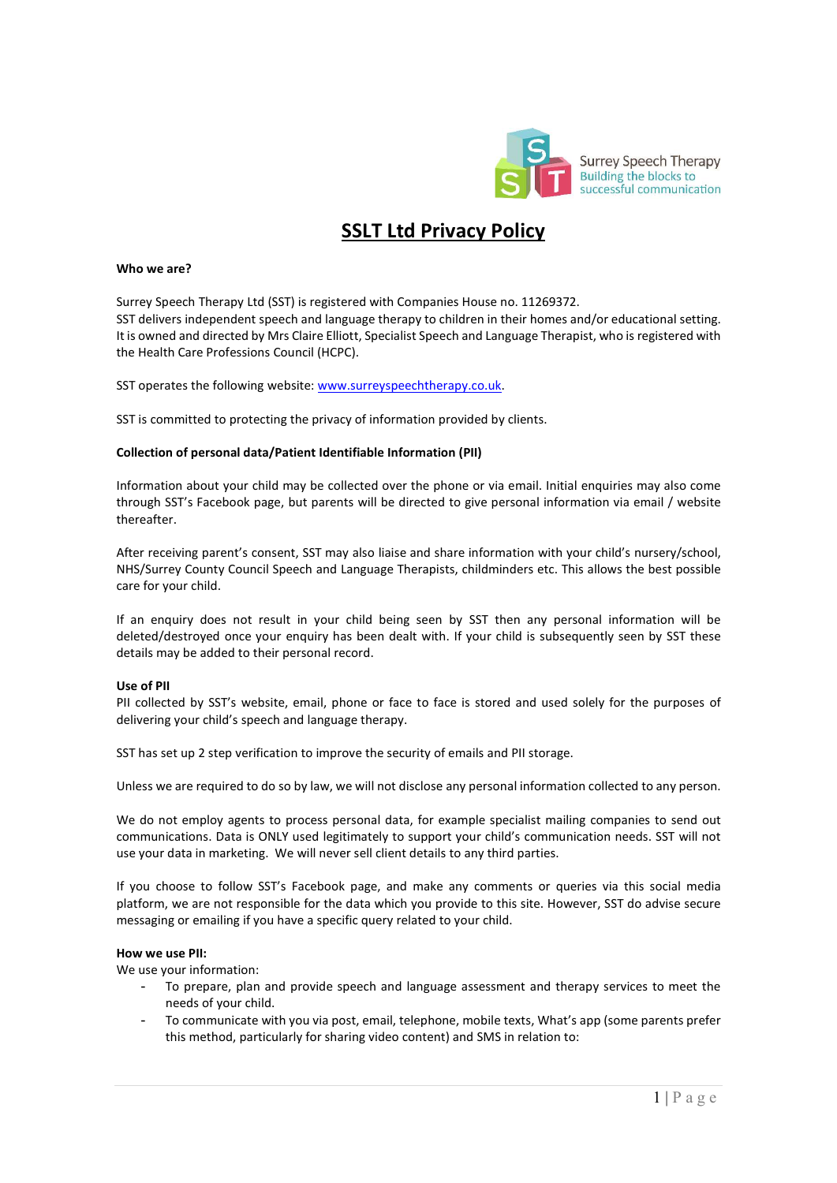

# SSLT Ltd Privacy Policy

#### Who we are?

Surrey Speech Therapy Ltd (SST) is registered with Companies House no. 11269372. SST delivers independent speech and language therapy to children in their homes and/or educational setting. It is owned and directed by Mrs Claire Elliott, Specialist Speech and Language Therapist, who is registered with the Health Care Professions Council (HCPC).

SST operates the following website: www.surreyspeechtherapy.co.uk.

SST is committed to protecting the privacy of information provided by clients.

## Collection of personal data/Patient Identifiable Information (PII)

Information about your child may be collected over the phone or via email. Initial enquiries may also come through SST's Facebook page, but parents will be directed to give personal information via email / website thereafter.

After receiving parent's consent, SST may also liaise and share information with your child's nursery/school, NHS/Surrey County Council Speech and Language Therapists, childminders etc. This allows the best possible care for your child.

If an enquiry does not result in your child being seen by SST then any personal information will be deleted/destroyed once your enquiry has been dealt with. If your child is subsequently seen by SST these details may be added to their personal record.

#### Use of PII

PII collected by SST's website, email, phone or face to face is stored and used solely for the purposes of delivering your child's speech and language therapy.

SST has set up 2 step verification to improve the security of emails and PII storage.

Unless we are required to do so by law, we will not disclose any personal information collected to any person.

We do not employ agents to process personal data, for example specialist mailing companies to send out communications. Data is ONLY used legitimately to support your child's communication needs. SST will not use your data in marketing. We will never sell client details to any third parties.

If you choose to follow SST's Facebook page, and make any comments or queries via this social media platform, we are not responsible for the data which you provide to this site. However, SST do advise secure messaging or emailing if you have a specific query related to your child.

#### How we use PII:

We use your information:

- To prepare, plan and provide speech and language assessment and therapy services to meet the needs of your child.
- To communicate with you via post, email, telephone, mobile texts, What's app (some parents prefer this method, particularly for sharing video content) and SMS in relation to: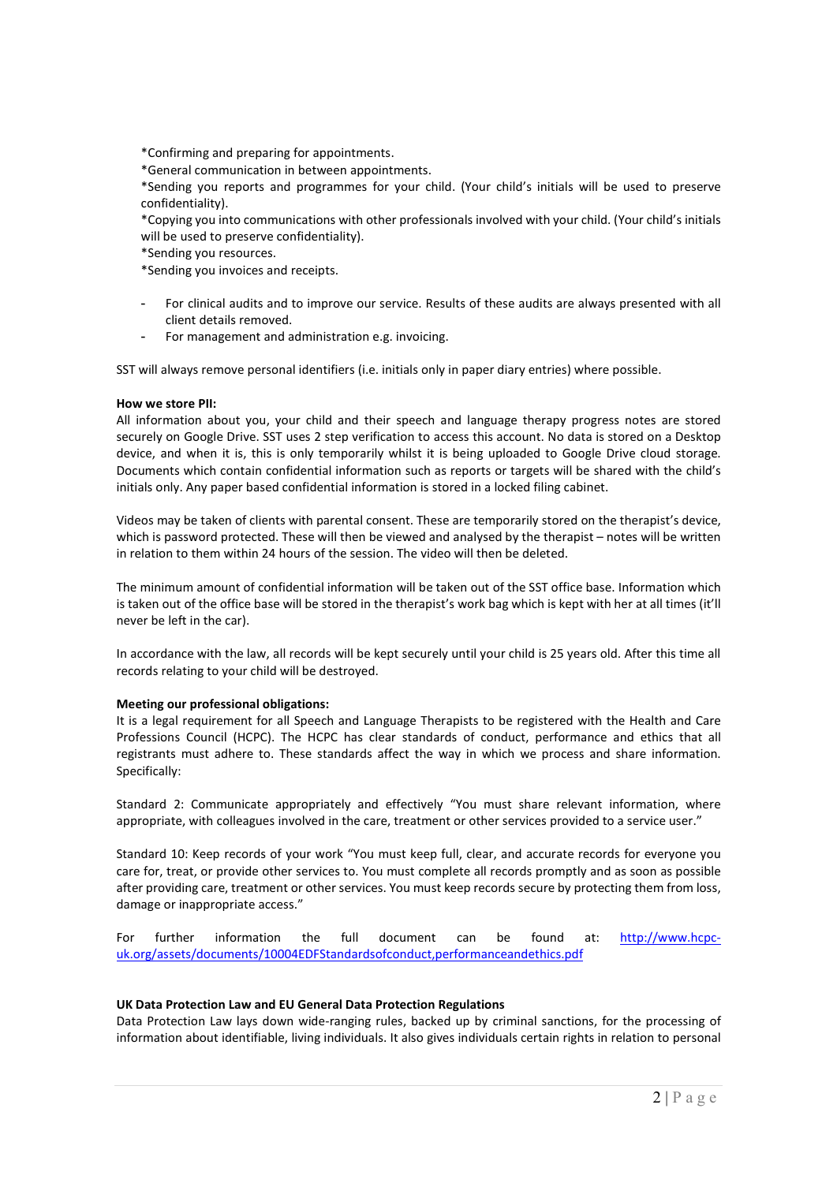\*Confirming and preparing for appointments.

\*General communication in between appointments.

\*Sending you reports and programmes for your child. (Your child's initials will be used to preserve confidentiality).

\*Copying you into communications with other professionals involved with your child. (Your child's initials will be used to preserve confidentiality).

\*Sending you resources.

\*Sending you invoices and receipts.

- For clinical audits and to improve our service. Results of these audits are always presented with all client details removed.
- For management and administration e.g. invoicing.

SST will always remove personal identifiers (i.e. initials only in paper diary entries) where possible.

## How we store PII:

All information about you, your child and their speech and language therapy progress notes are stored securely on Google Drive. SST uses 2 step verification to access this account. No data is stored on a Desktop device, and when it is, this is only temporarily whilst it is being uploaded to Google Drive cloud storage. Documents which contain confidential information such as reports or targets will be shared with the child's initials only. Any paper based confidential information is stored in a locked filing cabinet.

Videos may be taken of clients with parental consent. These are temporarily stored on the therapist's device, which is password protected. These will then be viewed and analysed by the therapist – notes will be written in relation to them within 24 hours of the session. The video will then be deleted.

The minimum amount of confidential information will be taken out of the SST office base. Information which is taken out of the office base will be stored in the therapist's work bag which is kept with her at all times (it'll never be left in the car).

In accordance with the law, all records will be kept securely until your child is 25 years old. After this time all records relating to your child will be destroyed.

#### Meeting our professional obligations:

It is a legal requirement for all Speech and Language Therapists to be registered with the Health and Care Professions Council (HCPC). The HCPC has clear standards of conduct, performance and ethics that all registrants must adhere to. These standards affect the way in which we process and share information. Specifically:

Standard 2: Communicate appropriately and effectively "You must share relevant information, where appropriate, with colleagues involved in the care, treatment or other services provided to a service user."

Standard 10: Keep records of your work "You must keep full, clear, and accurate records for everyone you care for, treat, or provide other services to. You must complete all records promptly and as soon as possible after providing care, treatment or other services. You must keep records secure by protecting them from loss, damage or inappropriate access."

For further information the full document can be found at: http://www.hcpcuk.org/assets/documents/10004EDFStandardsofconduct,performanceandethics.pdf

#### UK Data Protection Law and EU General Data Protection Regulations

Data Protection Law lays down wide-ranging rules, backed up by criminal sanctions, for the processing of information about identifiable, living individuals. It also gives individuals certain rights in relation to personal